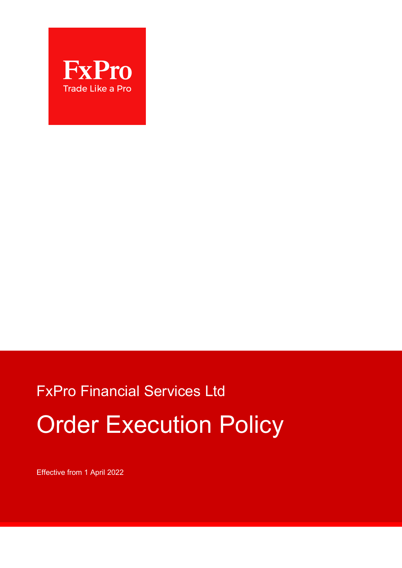

# FxPro Financial Services Ltd Order Execution Policy

Effective from 1 April 2022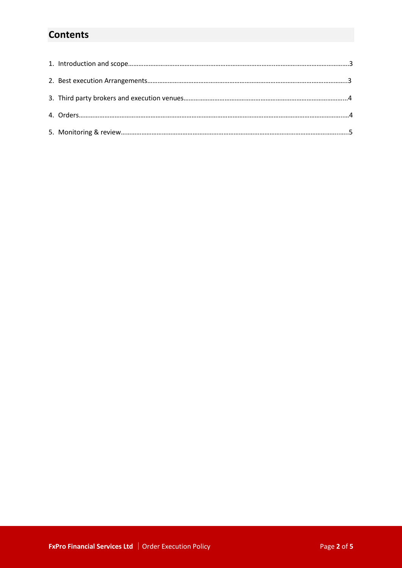# **Contents**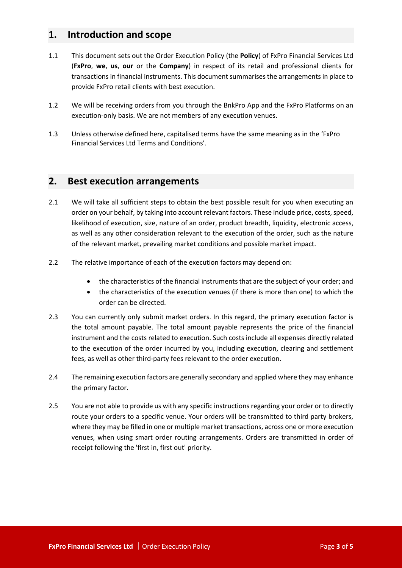## **1. Introduction and scope**

- 1.1 This document sets out the Order Execution Policy (the **Policy**) of FxPro Financial Services Ltd (**FxPro**, **we**, **us**, **our** or the **Company**) in respect of its retail and professional clients for transactions in financial instruments. This document summarises the arrangements in place to provide FxPro retail clients with best execution.
- 1.2 We will be receiving orders from you through the BnkPro App and the FxPro Platforms on an execution-only basis. We are not members of any execution venues.
- 1.3 Unless otherwise defined here, capitalised terms have the same meaning as in the 'FxPro Financial Services Ltd Terms and Conditions'.

#### **2. Best execution arrangements**

- 2.1 We will take all sufficient steps to obtain the best possible result for you when executing an order on your behalf, by taking into account relevant factors. These include price, costs, speed, likelihood of execution, size, nature of an order, product breadth, liquidity, electronic access, as well as any other consideration relevant to the execution of the order, such as the nature of the relevant market, prevailing market conditions and possible market impact.
- 2.2 The relative importance of each of the execution factors may depend on:
	- the characteristics of the financial instruments that are the subject of your order; and
	- the characteristics of the execution venues (if there is more than one) to which the order can be directed.
- 2.3 You can currently only submit market orders. In this regard, the primary execution factor is the total amount payable. The total amount payable represents the price of the financial instrument and the costs related to execution. Such costs include all expenses directly related to the execution of the order incurred by you, including execution, clearing and settlement fees, as well as other third-party fees relevant to the order execution.
- 2.4 The remaining execution factors are generally secondary and applied where they may enhance the primary factor.
- 2.5 You are not able to provide us with any specific instructions regarding your order or to directly route your orders to a specific venue. Your orders will be transmitted to third party brokers, where they may be filled in one or multiple market transactions, across one or more execution venues, when using smart order routing arrangements. Orders are transmitted in order of receipt following the 'first in, first out' priority.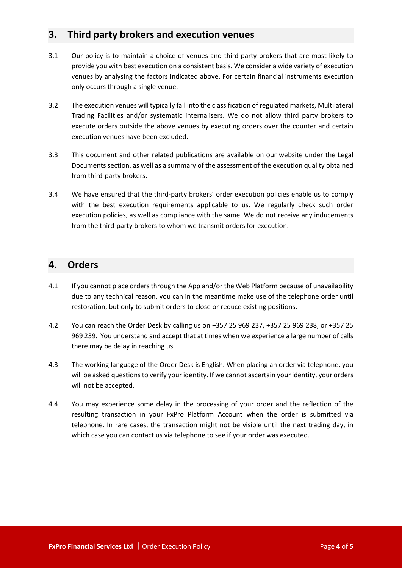# **3. Third party brokers and execution venues**

- 3.1 Our policy is to maintain a choice of venues and third-party brokers that are most likely to provide you with best execution on a consistent basis. We consider a wide variety of execution venues by analysing the factors indicated above. For certain financial instruments execution only occurs through a single venue.
- 3.2 The execution venues will typically fall into the classification of regulated markets, Multilateral Trading Facilities and/or systematic internalisers. We do not allow third party brokers to execute orders outside the above venues by executing orders over the counter and certain execution venues have been excluded.
- 3.3 This document and other related publications are available on our website under the Legal Documents section, as well as a summary of the assessment of the execution quality obtained from third-party brokers.
- 3.4 We have ensured that the third-party brokers' order execution policies enable us to comply with the best execution requirements applicable to us. We regularly check such order execution policies, as well as compliance with the same. We do not receive any inducements from the third-party brokers to whom we transmit orders for execution.

# **4. Orders**

- 4.1 If you cannot place orders through the App and/or the Web Platform because of unavailability due to any technical reason, you can in the meantime make use of the telephone order until restoration, but only to submit orders to close or reduce existing positions.
- 4.2 You can reach the Order Desk by calling us on +357 25 969 237, +357 25 969 238, or +357 25 969 239. You understand and accept that at times when we experience a large number of calls there may be delay in reaching us.
- 4.3 The working language of the Order Desk is English. When placing an order via telephone, you will be asked questions to verify your identity. If we cannot ascertain your identity, your orders will not be accepted.
- 4.4 You may experience some delay in the processing of your order and the reflection of the resulting transaction in your FxPro Platform Account when the order is submitted via telephone. In rare cases, the transaction might not be visible until the next trading day, in which case you can contact us via telephone to see if your order was executed.